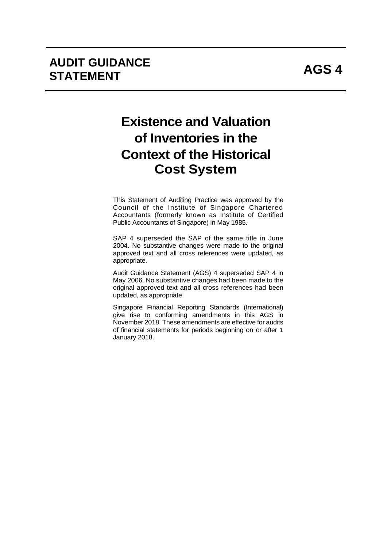# **Existence and Valuation of Inventories in the Context of the Historical Cost System**

This Statement of Auditing Practice was approved by the Council of the Institute of Singapore Chartered Accountants (formerly known as Institute of Certified Public Accountants of Singapore) in May 1985.

SAP 4 superseded the SAP of the same title in June 2004. No substantive changes were made to the original approved text and all cross references were updated, as appropriate.

Audit Guidance Statement (AGS) 4 superseded SAP 4 in May 2006. No substantive changes had been made to the original approved text and all cross references had been updated, as appropriate.

Singapore Financial Reporting Standards (International) give rise to conforming amendments in this AGS in November 2018. These amendments are effective for audits of financial statements for periods beginning on or after 1 January 2018.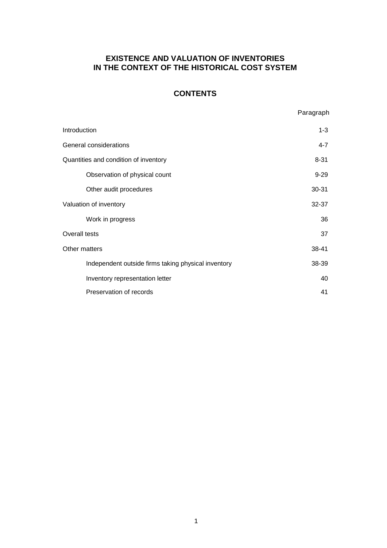## **EXISTENCE AND VALUATION OF INVENTORIES IN THE CONTEXT OF THE HISTORICAL COST SYSTEM**

## **CONTENTS**

Paragraph

| Introduction                                        | $1 - 3$   |
|-----------------------------------------------------|-----------|
| General considerations                              | $4 - 7$   |
| Quantities and condition of inventory               | $8 - 31$  |
| Observation of physical count                       | $9 - 29$  |
| Other audit procedures                              | $30 - 31$ |
| Valuation of inventory                              | $32 - 37$ |
| Work in progress                                    | 36        |
| Overall tests                                       | 37        |
| Other matters                                       | 38-41     |
| Independent outside firms taking physical inventory | 38-39     |
| Inventory representation letter                     | 40        |
| Preservation of records                             | 41        |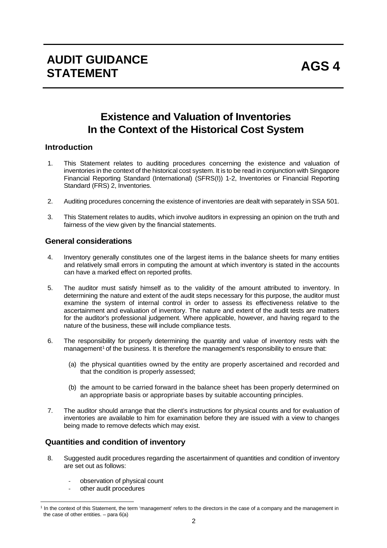## **Existence and Valuation of Inventories In the Context of the Historical Cost System**

## **Introduction**

- 1. This Statement relates to auditing procedures concerning the existence and valuation of inventories in the context of the historical cost system. It is to be read in conjunction with Singapore Financial Reporting Standard (International) (SFRS(I)) 1-2, Inventories or Financial Reporting Standard (FRS) 2, Inventories.
- 2. Auditing procedures concerning the existence of inventories are dealt with separately in SSA 501.
- 3. This Statement relates to audits, which involve auditors in expressing an opinion on the truth and fairness of the view given by the financial statements.

## **General considerations**

- 4. Inventory generally constitutes one of the largest items in the balance sheets for many entities and relatively small errors in computing the amount at which inventory is stated in the accounts can have a marked effect on reported profits.
- 5. The auditor must satisfy himself as to the validity of the amount attributed to inventory. In determining the nature and extent of the audit steps necessary for this purpose, the auditor must examine the system of internal control in order to assess its effectiveness relative to the ascertainment and evaluation of inventory. The nature and extent of the audit tests are matters for the auditor's professional judgement. Where applicable, however, and having regard to the nature of the business, these will include compliance tests.
- 6. The responsibility for properly determining the quantity and value of inventory rests with the management<sup>1</sup> of the business. It is therefore the management's responsibility to ensure that:
	- (a) the physical quantities owned by the entity are properly ascertained and recorded and that the condition is properly assessed;
	- (b) the amount to be carried forward in the balance sheet has been properly determined on an appropriate basis or appropriate bases by suitable accounting principles.
- 7. The auditor should arrange that the client's instructions for physical counts and for evaluation of inventories are available to him for examination before they are issued with a view to changes being made to remove defects which may exist.

## **Quantities and condition of inventory**

- 8. Suggested audit procedures regarding the ascertainment of quantities and condition of inventory are set out as follows:
	- observation of physical count
	- other audit procedures

 $\overline{a}$ 

<sup>&</sup>lt;sup>1</sup> In the context of this Statement, the term 'management' refers to the directors in the case of a company and the management in the case of other entities.  $-$  para  $6(a)$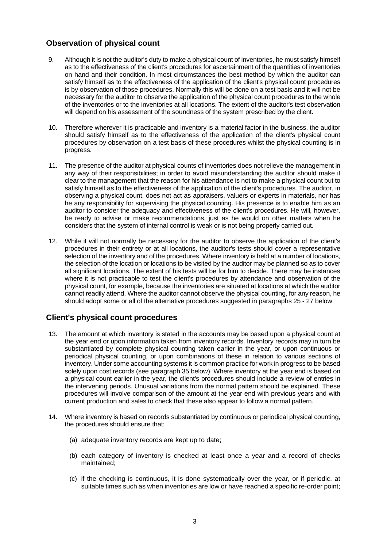## **Observation of physical count**

- 9. Although it is not the auditor's duty to make a physical count of inventories, he must satisfy himself as to the effectiveness of the client's procedures for ascertainment of the quantities of inventories on hand and their condition. In most circumstances the best method by which the auditor can satisfy himself as to the effectiveness of the application of the client's physical count procedures is by observation of those procedures. Normally this will be done on a test basis and it will not be necessary for the auditor to observe the application of the physical count procedures to the whole of the inventories or to the inventories at all locations. The extent of the auditor's test observation will depend on his assessment of the soundness of the system prescribed by the client.
- 10. Therefore wherever it is practicable and inventory is a material factor in the business, the auditor should satisfy himself as to the effectiveness of the application of the client's physical count procedures by observation on a test basis of these procedures whilst the physical counting is in progress.
- 11. The presence of the auditor at physical counts of inventories does not relieve the management in any way of their responsibilities; in order to avoid misunderstanding the auditor should make it clear to the management that the reason for his attendance is not to make a physical count but to satisfy himself as to the effectiveness of the application of the client's procedures. The auditor, in observing a physical count, does not act as appraisers, valuers or experts in materials, nor has he any responsibility for supervising the physical counting. His presence is to enable him as an auditor to consider the adequacy and effectiveness of the client's procedures. He will, however, be ready to advise or make recommendations, just as he would on other matters when he considers that the system of internal control is weak or is not being properly carried out.
- 12. While it will not normally be necessary for the auditor to observe the application of the client's procedures in their entirety or at all locations, the auditor's tests should cover a representative selection of the inventory and of the procedures. Where inventory is held at a number of locations, the selection of the location or locations to be visited by the auditor may be planned so as to cover all significant locations. The extent of his tests will be for him to decide. There may be instances where it is not practicable to test the client's procedures by attendance and observation of the physical count, for example, because the inventories are situated at locations at which the auditor cannot readily attend. Where the auditor cannot observe the physical counting, for any reason, he should adopt some or all of the alternative procedures suggested in paragraphs 25 - 27 below.

## **Client's physical count procedures**

- 13. The amount at which inventory is stated in the accounts may be based upon a physical count at the year end or upon information taken from inventory records. Inventory records may in turn be substantiated by complete physical counting taken earlier in the year, or upon continuous or periodical physical counting, or upon combinations of these in relation to various sections of inventory. Under some accounting systems it is common practice for work in progress to be based solely upon cost records (see paragraph 35 below). Where inventory at the year end is based on a physical count earlier in the year, the client's procedures should include a review of entries in the intervening periods. Unusual variations from the normal pattern should be explained. These procedures will involve comparison of the amount at the year end with previous years and with current production and sales to check that these also appear to follow a normal pattern.
- 14. Where inventory is based on records substantiated by continuous or periodical physical counting, the procedures should ensure that:
	- (a) adequate inventory records are kept up to date;
	- (b) each category of inventory is checked at least once a year and a record of checks maintained;
	- (c) if the checking is continuous, it is done systematically over the year, or if periodic, at suitable times such as when inventories are low or have reached a specific re-order point;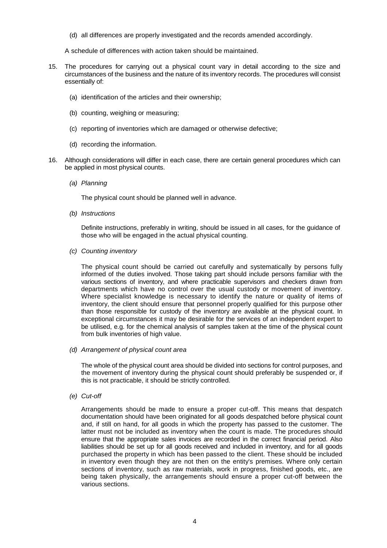(d) all differences are properly investigated and the records amended accordingly.

A schedule of differences with action taken should be maintained.

- 15. The procedures for carrying out a physical count vary in detail according to the size and circumstances of the business and the nature of its inventory records. The procedures will consist essentially of:
	- (a) identification of the articles and their ownership;
	- (b) counting, weighing or measuring;
	- (c) reporting of inventories which are damaged or otherwise defective;
	- (d) recording the information.
- 16. Although considerations will differ in each case, there are certain general procedures which can be applied in most physical counts.
	- *(a) Planning*

The physical count should be planned well in advance.

*(b) Instructions*

Definite instructions, preferably in writing, should be issued in all cases, for the guidance of those who will be engaged in the actual physical counting.

*(c) Counting inventory*

The physical count should be carried out carefully and systematically by persons fully informed of the duties involved. Those taking part should include persons familiar with the various sections of inventory, and where practicable supervisors and checkers drawn from departments which have no control over the usual custody or movement of inventory. Where specialist knowledge is necessary to identify the nature or quality of items of inventory, the client should ensure that personnel properly qualified for this purpose other than those responsible for custody of the inventory are available at the physical count. In exceptional circumstances it may be desirable for the services of an independent expert to be utilised, e.g. for the chemical analysis of samples taken at the time of the physical count from bulk inventories of high value.

*(d) Arrangement of physical count area*

The whole of the physical count area should be divided into sections for control purposes, and the movement of inventory during the physical count should preferably be suspended or, if this is not practicable, it should be strictly controlled.

*(e) Cut-off*

Arrangements should be made to ensure a proper cut-off. This means that despatch documentation should have been originated for all goods despatched before physical count and, if still on hand, for all goods in which the property has passed to the customer. The latter must not be included as inventory when the count is made. The procedures should ensure that the appropriate sales invoices are recorded in the correct financial period. Also liabilities should be set up for all goods received and included in inventory, and for all goods purchased the property in which has been passed to the client. These should be included in inventory even though they are not then on the entity's premises. Where only certain sections of inventory, such as raw materials, work in progress, finished goods, etc., are being taken physically, the arrangements should ensure a proper cut-off between the various sections.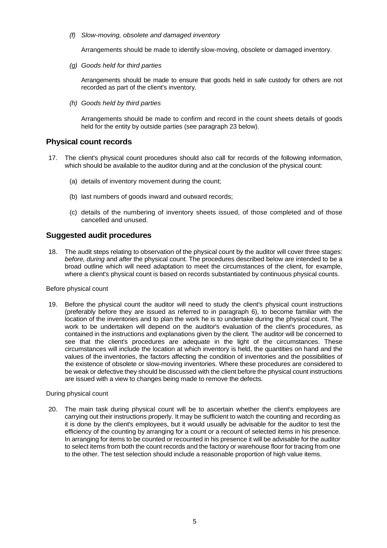*(f) Slow-moving, obsolete and damaged inventory*

Arrangements should be made to identify slow-moving, obsolete or damaged inventory.

*(g) Goods held for third parties*

Arrangements should be made to ensure that goods held in safe custody for others are not recorded as part of the client's inventory.

*(h) Goods held by third parties*

Arrangements should be made to confirm and record in the count sheets details of goods held for the entity by outside parties (see paragraph 23 below).

## **Physical count records**

- 17. The client's physical count procedures should also call for records of the following information, which should be available to the auditor during and at the conclusion of the physical count:
	- (a) details of inventory movement during the count;
	- (b) last numbers of goods inward and outward records;
	- (c) details of the numbering of inventory sheets issued, of those completed and of those cancelled and unused.

## **Suggested audit procedures**

18. The audit steps relating to observation of the physical count by the auditor will cover three stages: *before, during* and *after* the physical count. The procedures described below are intended to be a broad outline which will need adaptation to meet the circumstances of the client, for example, where a client's physical count is based on records substantiated by continuous physical counts.

#### Before physical count

19. Before the physical count the auditor will need to study the client's physical count instructions (preferably before they are issued as referred to in paragraph 6), to become familiar with the location of the inventories and to plan the work he is to undertake during the physical count. The work to be undertaken will depend on the auditor's evaluation of the client's procedures, as contained in the instructions and explanations given by the client. The auditor will be concerned to see that the client's procedures are adequate in the light of the circumstances. These circumstances will include the location at which inventory is held, the quantities on hand and the values of the inventories, the factors affecting the condition of inventories and the possibilities of the existence of obsolete or slow-moving inventories. Where these procedures are considered to be weak or defective they should be discussed with the client before the physical count instructions are issued with a view to changes being made to remove the defects.

#### During physical count

20. The main task during physical count will be to ascertain whether the client's employees are carrying out their instructions properly. It may be sufficient to watch the counting and recording as it is done by the client's employees, but it would usually be advisable for the auditor to test the efficiency of the counting by arranging for a count or a recount of selected items in his presence. In arranging for items to be counted or recounted in his presence it will be advisable for the auditor to select items from both the count records and the factory or warehouse floor for tracing from one to the other. The test selection should include a reasonable proportion of high value items.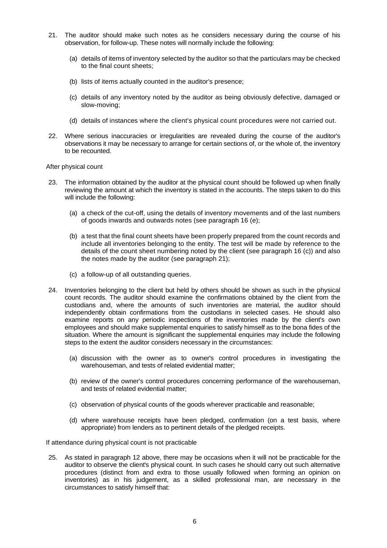- 21. The auditor should make such notes as he considers necessary during the course of his observation, for follow-up. These notes will normally include the following:
	- (a) details of items of inventory selected by the auditor so that the particulars may be checked to the final count sheets;
	- (b) lists of items actually counted in the auditor's presence;
	- (c) details of any inventory noted by the auditor as being obviously defective, damaged or slow-moving;
	- (d) details of instances where the client's physical count procedures were not carried out.
- 22. Where serious inaccuracies or irregularities are revealed during the course of the auditor's observations it may be necessary to arrange for certain sections of, or the whole of, the inventory to be recounted.

#### After physical count

- 23. The information obtained by the auditor at the physical count should be followed up when finally reviewing the amount at which the inventory is stated in the accounts. The steps taken to do this will include the following:
	- (a) a check of the cut-off, using the details of inventory movements and of the last numbers of goods inwards and outwards notes (see paragraph 16 (e);
	- (b) a test that the final count sheets have been properly prepared from the count records and include all inventories belonging to the entity. The test will be made by reference to the details of the count sheet numbering noted by the client (see paragraph 16 (c)) and also the notes made by the auditor (see paragraph 21);
	- (c) a follow-up of all outstanding queries.
- 24. Inventories belonging to the client but held by others should be shown as such in the physical count records. The auditor should examine the confirmations obtained by the client from the custodians and, where the amounts of such inventories are material, the auditor should independently obtain confirmations from the custodians in selected cases. He should also examine reports on any periodic inspections of the inventories made by the client's own employees and should make supplemental enquiries to satisfy himself as to the bona fides of the situation. Where the amount is significant the supplemental enquiries may include the following steps to the extent the auditor considers necessary in the circumstances:
	- (a) discussion with the owner as to owner's control procedures in investigating the warehouseman, and tests of related evidential matter;
	- (b) review of the owner's control procedures concerning performance of the warehouseman, and tests of related evidential matter;
	- (c) observation of physical counts of the goods wherever practicable and reasonable;
	- (d) where warehouse receipts have been pledged, confirmation (on a test basis, where appropriate) from lenders as to pertinent details of the pledged receipts.

If attendance during physical count is not practicable

25. As stated in paragraph 12 above, there may be occasions when it will not be practicable for the auditor to observe the client's physical count. In such cases he should carry out such alternative procedures (distinct from and extra to those usually followed when forming an opinion on inventories) as in his judgement, as a skilled professional man, are necessary in the circumstances to satisfy himself that: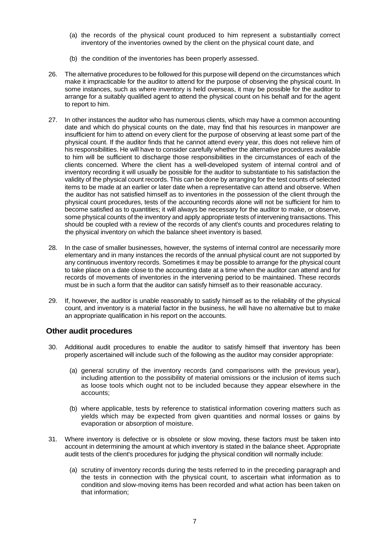- (a) the records of the physical count produced to him represent a substantially correct inventory of the inventories owned by the client on the physical count date, and
- (b) the condition of the inventories has been properly assessed.
- 26. The alternative procedures to be followed for this purpose will depend on the circumstances which make it impracticable for the auditor to attend for the purpose of observing the physical count. In some instances, such as where inventory is held overseas, it may be possible for the auditor to arrange for a suitably qualified agent to attend the physical count on his behalf and for the agent to report to him.
- 27. In other instances the auditor who has numerous clients, which may have a common accounting date and which do physical counts on the date, may find that his resources in manpower are insufficient for him to attend on every client for the purpose of observing at least some part of the physical count. If the auditor finds that he cannot attend every year, this does not relieve him of his responsibilities. He will have to consider carefully whether the alternative procedures available to him will be sufficient to discharge those responsibilities in the circumstances of each of the clients concerned. Where the client has a well-developed system of internal control and of inventory recording it will usually be possible for the auditor to substantiate to his satisfaction the validity of the physical count records. This can be done by arranging for the test counts of selected items to be made at an earlier or later date when a representative can attend and observe. When the auditor has not satisfied himself as to inventories in the possession of the client through the physical count procedures, tests of the accounting records alone will not be sufficient for him to become satisfied as to quantities; it will always be necessary for the auditor to make, or observe, some physical counts of the inventory and apply appropriate tests of intervening transactions. This should be coupled with a review of the records of any client's counts and procedures relating to the physical inventory on which the balance sheet inventory is based.
- 28. In the case of smaller businesses, however, the systems of internal control are necessarily more elementary and in many instances the records of the annual physical count are not supported by any continuous inventory records. Sometimes it may be possible to arrange for the physical count to take place on a date close to the accounting date at a time when the auditor can attend and for records of movements of inventories in the intervening period to be maintained. These records must be in such a form that the auditor can satisfy himself as to their reasonable accuracy.
- 29. If, however, the auditor is unable reasonably to satisfy himself as to the reliability of the physical count, and inventory is a material factor in the business, he will have no alternative but to make an appropriate qualification in his report on the accounts.

## **Other audit procedures**

- 30. Additional audit procedures to enable the auditor to satisfy himself that inventory has been properly ascertained will include such of the following as the auditor may consider appropriate:
	- (a) general scrutiny of the inventory records (and comparisons with the previous year), including attention to the possibility of material omissions or the inclusion of items such as loose tools which ought not to be included because they appear elsewhere in the accounts;
	- (b) where applicable, tests by reference to statistical information covering matters such as yields which may be expected from given quantities and normal losses or gains by evaporation or absorption of moisture.
- 31. Where inventory is defective or is obsolete or slow moving, these factors must be taken into account in determining the amount at which inventory is stated in the balance sheet. Appropriate audit tests of the client's procedures for judging the physical condition will normally include:
	- (a) scrutiny of inventory records during the tests referred to in the preceding paragraph and the tests in connection with the physical count, to ascertain what information as to condition and slow-moving items has been recorded and what action has been taken on that information;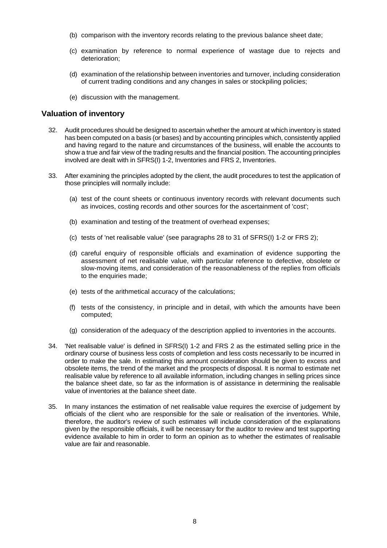- (b) comparison with the inventory records relating to the previous balance sheet date;
- (c) examination by reference to normal experience of wastage due to rejects and deterioration;
- (d) examination of the relationship between inventories and turnover, including consideration of current trading conditions and any changes in sales or stockpiling policies;
- (e) discussion with the management.

## **Valuation of inventory**

- 32. Audit procedures should be designed to ascertain whether the amount at which inventory is stated has been computed on a basis (or bases) and by accounting principles which, consistently applied and having regard to the nature and circumstances of the business, will enable the accounts to show a true and fair view of the trading results and the financial position. The accounting principles involved are dealt with in SFRS(I) 1-2, Inventories and FRS 2, Inventories.
- 33. After examining the principles adopted by the client, the audit procedures to test the application of those principles will normally include:
	- (a) test of the count sheets or continuous inventory records with relevant documents such as invoices, costing records and other sources for the ascertainment of 'cost';
	- (b) examination and testing of the treatment of overhead expenses;
	- (c) tests of 'net realisable value' (see paragraphs 28 to 31 of SFRS(I) 1-2 or FRS 2);
	- (d) careful enquiry of responsible officials and examination of evidence supporting the assessment of net realisable value, with particular reference to defective, obsolete or slow-moving items, and consideration of the reasonableness of the replies from officials to the enquiries made;
	- (e) tests of the arithmetical accuracy of the calculations;
	- (f) tests of the consistency, in principle and in detail, with which the amounts have been computed;
	- (g) consideration of the adequacy of the description applied to inventories in the accounts.
- 34. 'Net realisable value' is defined in SFRS(I) 1-2 and FRS 2 as the estimated selling price in the ordinary course of business less costs of completion and less costs necessarily to be incurred in order to make the sale. In estimating this amount consideration should be given to excess and obsolete items, the trend of the market and the prospects of disposal. It is normal to estimate net realisable value by reference to all available information, including changes in selling prices since the balance sheet date, so far as the information is of assistance in determining the realisable value of inventories at the balance sheet date.
- 35. In many instances the estimation of net realisable value requires the exercise of judgement by officials of the client who are responsible for the sale or realisation of the inventories. While, therefore, the auditor's review of such estimates will include consideration of the explanations given by the responsible officials, it will be necessary for the auditor to review and test supporting evidence available to him in order to form an opinion as to whether the estimates of realisable value are fair and reasonable.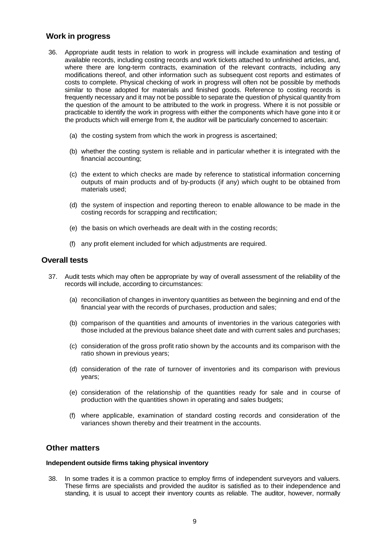## **Work in progress**

- 36. Appropriate audit tests in relation to work in progress will include examination and testing of available records, including costing records and work tickets attached to unfinished articles, and, where there are long-term contracts, examination of the relevant contracts, including any modifications thereof, and other information such as subsequent cost reports and estimates of costs to complete. Physical checking of work in progress will often not be possible by methods similar to those adopted for materials and finished goods. Reference to costing records is frequently necessary and it may not be possible to separate the question of physical quantity from the question of the amount to be attributed to the work in progress. Where it is not possible or practicable to identify the work in progress with either the components which have gone into it or the products which will emerge from it, the auditor will be particularly concerned to ascertain:
	- (a) the costing system from which the work in progress is ascertained;
	- (b) whether the costing system is reliable and in particular whether it is integrated with the financial accounting;
	- (c) the extent to which checks are made by reference to statistical information concerning outputs of main products and of by-products (if any) which ought to be obtained from materials used;
	- (d) the system of inspection and reporting thereon to enable allowance to be made in the costing records for scrapping and rectification;
	- (e) the basis on which overheads are dealt with in the costing records;
	- (f) any profit element included for which adjustments are required.

#### **Overall tests**

- 37. Audit tests which may often be appropriate by way of overall assessment of the reliability of the records will include, according to circumstances:
	- (a) reconciliation of changes in inventory quantities as between the beginning and end of the financial year with the records of purchases, production and sales;
	- (b) comparison of the quantities and amounts of inventories in the various categories with those included at the previous balance sheet date and with current sales and purchases;
	- (c) consideration of the gross profit ratio shown by the accounts and its comparison with the ratio shown in previous years;
	- (d) consideration of the rate of turnover of inventories and its comparison with previous years;
	- (e) consideration of the relationship of the quantities ready for sale and in course of production with the quantities shown in operating and sales budgets;
	- (f) where applicable, examination of standard costing records and consideration of the variances shown thereby and their treatment in the accounts.

#### **Other matters**

#### **Independent outside firms taking physical inventory**

38. In some trades it is a common practice to employ firms of independent surveyors and valuers. These firms are specialists and provided the auditor is satisfied as to their independence and standing, it is usual to accept their inventory counts as reliable. The auditor, however, normally